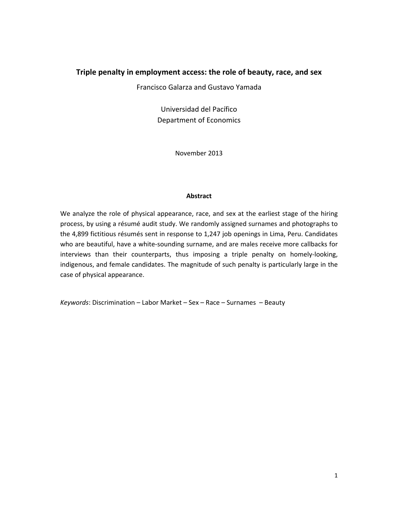## **Triple penalty in employment access: the role of beauty, race, and sex**

Francisco Galarza and Gustavo Yamada

Universidad del Pacífico Department of Economics

November 2013

#### **Abstract**

We analyze the role of physical appearance, race, and sex at the earliest stage of the hiring process, by using a résumé audit study. We randomly assigned surnames and photographs to the 4,899 fictitious résumés sent in response to 1,247 job openings in Lima, Peru. Candidates who are beautiful, have a white-sounding surname, and are males receive more callbacks for interviews than their counterparts, thus imposing a triple penalty on homely‐looking, indigenous, and female candidates. The magnitude of such penalty is particularly large in the case of physical appearance.

*Keywords*: Discrimination – Labor Market – Sex – Race – Surnames – Beauty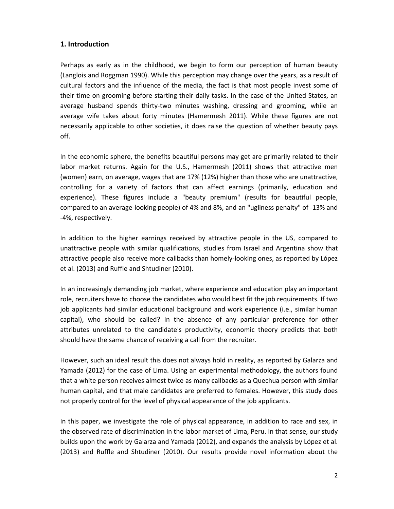## **1. Introduction**

Perhaps as early as in the childhood, we begin to form our perception of human beauty (Langlois and Roggman 1990). While this perception may change over the years, as a result of cultural factors and the influence of the media, the fact is that most people invest some of their time on grooming before starting their daily tasks. In the case of the United States, an average husband spends thirty-two minutes washing, dressing and grooming, while an average wife takes about forty minutes (Hamermesh 2011). While these figures are not necessarily applicable to other societies, it does raise the question of whether beauty pays off.

In the economic sphere, the benefits beautiful persons may get are primarily related to their labor market returns. Again for the U.S., Hamermesh (2011) shows that attractive men (women) earn, on average, wages that are 17% (12%) higher than those who are unattractive, controlling for a variety of factors that can affect earnings (primarily, education and experience). These figures include a "beauty premium" (results for beautiful people, compared to an average‐looking people) of 4% and 8%, and an "ugliness penalty" of ‐13% and ‐4%, respectively.

In addition to the higher earnings received by attractive people in the US, compared to unattractive people with similar qualifications, studies from Israel and Argentina show that attractive people also receive more callbacks than homely‐looking ones, as reported by López et al. (2013) and Ruffle and Shtudiner (2010).

In an increasingly demanding job market, where experience and education play an important role, recruiters have to choose the candidates who would best fit the job requirements. If two job applicants had similar educational background and work experience (i.e., similar human capital), who should be called? In the absence of any particular preference for other attributes unrelated to the candidate's productivity, economic theory predicts that both should have the same chance of receiving a call from the recruiter.

However, such an ideal result this does not always hold in reality, as reported by Galarza and Yamada (2012) for the case of Lima. Using an experimental methodology, the authors found that a white person receives almost twice as many callbacks as a Quechua person with similar human capital, and that male candidates are preferred to females. However, this study does not properly control for the level of physical appearance of the job applicants.

In this paper, we investigate the role of physical appearance, in addition to race and sex, in the observed rate of discrimination in the labor market of Lima, Peru. In that sense, our study builds upon the work by Galarza and Yamada (2012), and expands the analysis by López et al. (2013) and Ruffle and Shtudiner (2010). Our results provide novel information about the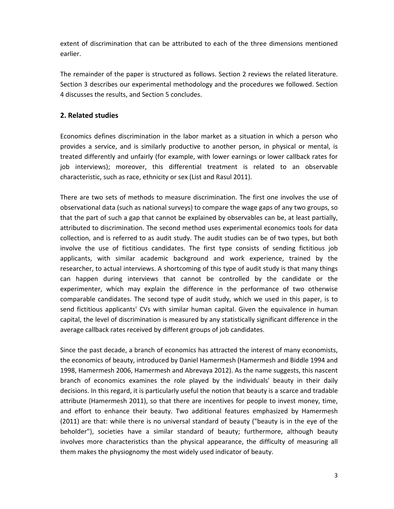extent of discrimination that can be attributed to each of the three dimensions mentioned earlier.

The remainder of the paper is structured as follows. Section 2 reviews the related literature. Section 3 describes our experimental methodology and the procedures we followed. Section 4 discusses the results, and Section 5 concludes.

# **2. Related studies**

Economics defines discrimination in the labor market as a situation in which a person who provides a service, and is similarly productive to another person, in physical or mental, is treated differently and unfairly (for example, with lower earnings or lower callback rates for job interviews); moreover, this differential treatment is related to an observable characteristic, such as race, ethnicity or sex (List and Rasul 2011).

There are two sets of methods to measure discrimination. The first one involves the use of observational data (such as national surveys) to compare the wage gaps of any two groups, so that the part of such a gap that cannot be explained by observables can be, at least partially, attributed to discrimination. The second method uses experimental economics tools for data collection, and is referred to as audit study. The audit studies can be of two types, but both involve the use of fictitious candidates. The first type consists of sending fictitious job applicants, with similar academic background and work experience, trained by the researcher, to actual interviews. A shortcoming of this type of audit study is that many things can happen during interviews that cannot be controlled by the candidate or the experimenter, which may explain the difference in the performance of two otherwise comparable candidates. The second type of audit study, which we used in this paper, is to send fictitious applicants' CVs with similar human capital. Given the equivalence in human capital, the level of discrimination is measured by any statistically significant difference in the average callback rates received by different groups of job candidates.

Since the past decade, a branch of economics has attracted the interest of many economists, the economics of beauty, introduced by Daniel Hamermesh (Hamermesh and Biddle 1994 and 1998, Hamermesh 2006, Hamermesh and Abrevaya 2012). As the name suggests, this nascent branch of economics examines the role played by the individuals' beauty in their daily decisions. In this regard, it is particularly useful the notion that beauty is a scarce and tradable attribute (Hamermesh 2011), so that there are incentives for people to invest money, time, and effort to enhance their beauty. Two additional features emphasized by Hamermesh (2011) are that: while there is no universal standard of beauty ("beauty is in the eye of the beholder"), societies have a similar standard of beauty; furthermore, although beauty involves more characteristics than the physical appearance, the difficulty of measuring all them makes the physiognomy the most widely used indicator of beauty.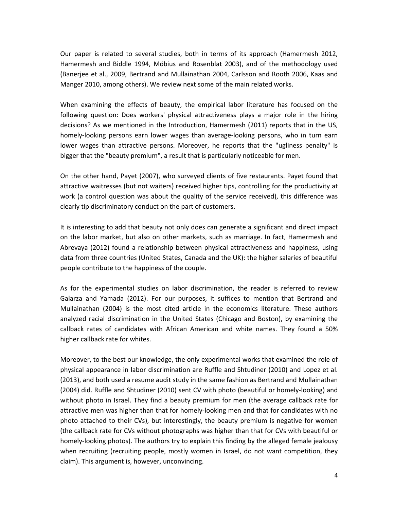Our paper is related to several studies, both in terms of its approach (Hamermesh 2012, Hamermesh and Biddle 1994, Möbius and Rosenblat 2003), and of the methodology used (Banerjee et al., 2009, Bertrand and Mullainathan 2004, Carlsson and Rooth 2006, Kaas and Manger 2010, among others). We review next some of the main related works.

When examining the effects of beauty, the empirical labor literature has focused on the following question: Does workers' physical attractiveness plays a major role in the hiring decisions? As we mentioned in the Introduction, Hamermesh (2011) reports that in the US, homely-looking persons earn lower wages than average-looking persons, who in turn earn lower wages than attractive persons. Moreover, he reports that the "ugliness penalty" is bigger that the "beauty premium", a result that is particularly noticeable for men.

On the other hand, Payet (2007), who surveyed clients of five restaurants. Payet found that attractive waitresses (but not waiters) received higher tips, controlling for the productivity at work (a control question was about the quality of the service received), this difference was clearly tip discriminatory conduct on the part of customers.

It is interesting to add that beauty not only does can generate a significant and direct impact on the labor market, but also on other markets, such as marriage. In fact, Hamermesh and Abrevaya (2012) found a relationship between physical attractiveness and happiness, using data from three countries (United States, Canada and the UK): the higher salaries of beautiful people contribute to the happiness of the couple.

As for the experimental studies on labor discrimination, the reader is referred to review Galarza and Yamada (2012). For our purposes, it suffices to mention that Bertrand and Mullainathan (2004) is the most cited article in the economics literature. These authors analyzed racial discrimination in the United States (Chicago and Boston), by examining the callback rates of candidates with African American and white names. They found a 50% higher callback rate for whites.

Moreover, to the best our knowledge, the only experimental works that examined the role of physical appearance in labor discrimination are Ruffle and Shtudiner (2010) and Lopez et al. (2013), and both used a resume audit study in the same fashion as Bertrand and Mullainathan (2004) did. Ruffle and Shtudiner (2010) sent CV with photo (beautiful or homely‐looking) and without photo in Israel. They find a beauty premium for men (the average callback rate for attractive men was higher than that for homely‐looking men and that for candidates with no photo attached to their CVs), but interestingly, the beauty premium is negative for women (the callback rate for CVs without photographs was higher than that for CVs with beautiful or homely-looking photos). The authors try to explain this finding by the alleged female jealousy when recruiting (recruiting people, mostly women in Israel, do not want competition, they claim). This argument is, however, unconvincing.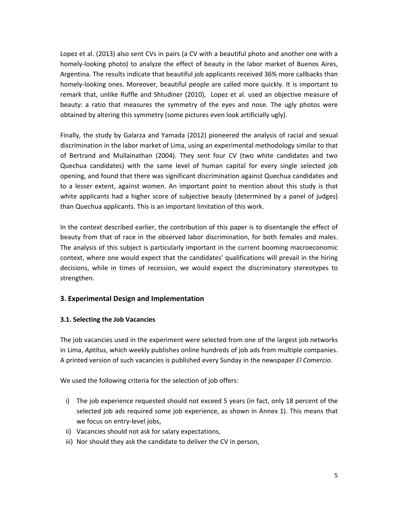Lopez et al. (2013) also sent CVs in pairs (a CV with a beautiful photo and another one with a homely-looking photo) to analyze the effect of beauty in the labor market of Buenos Aires, Argentina. The results indicate that beautiful job applicants received 36% more callbacks than homely-looking ones. Moreover, beautiful people are called more quickly. It is important to remark that, unlike Ruffle and Shtudiner (2010), Lopez et al. used an objective measure of beauty: a ratio that measures the symmetry of the eyes and nose. The ugly photos were obtained by altering this symmetry (some pictures even look artificially ugly).

Finally, the study by Galarza and Yamada (2012) pioneered the analysis of racial and sexual discrimination in the labor market of Lima, using an experimental methodology similar to that of Bertrand and Mullainathan (2004). They sent four CV (two white candidates and two Quechua candidates) with the same level of human capital for every single selected job opening, and found that there was significant discrimination against Quechua candidates and to a lesser extent, against women. An important point to mention about this study is that white applicants had a higher score of subjective beauty (determined by a panel of judges) than Quechua applicants. This is an important limitation of this work.

In the context described earlier, the contribution of this paper is to disentangle the effect of beauty from that of race in the observed labor discrimination, for both females and males. The analysis of this subject is particularly important in the current booming macroeconomic context, where one would expect that the candidates' qualifications will prevail in the hiring decisions, while in times of recession, we would expect the discriminatory stereotypes to strengthen.

## **3. Experimental Design and Implementation**

## **3.1. Selecting the Job Vacancies**

The job vacancies used in the experiment were selected from one of the largest job networks in Lima, *Aptitus*, which weekly publishes online hundreds of job ads from multiple companies. A printed version of such vacancies is published every Sunday in the newspaper *El Comercio*.

We used the following criteria for the selection of job offers:

- i) The job experience requested should not exceed 5 years (in fact, only 18 percent of the selected job ads required some job experience, as shown in Annex 1). This means that we focus on entry‐level jobs,
- ii) Vacancies should not ask for salary expectations,
- iii) Nor should they ask the candidate to deliver the CV in person,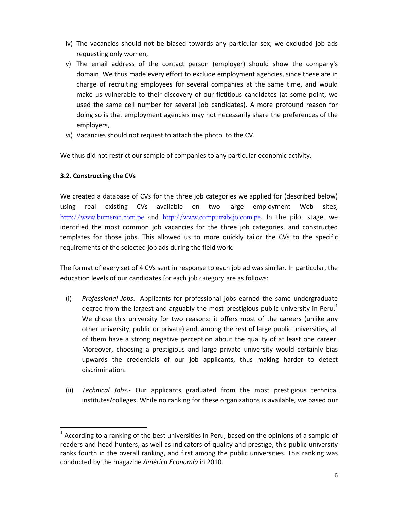- iv) The vacancies should not be biased towards any particular sex; we excluded job ads requesting only women,
- v) The email address of the contact person (employer) should show the company's domain. We thus made every effort to exclude employment agencies, since these are in charge of recruiting employees for several companies at the same time, and would make us vulnerable to their discovery of our fictitious candidates (at some point, we used the same cell number for several job candidates). A more profound reason for doing so is that employment agencies may not necessarily share the preferences of the employers,
- vi) Vacancies should not request to attach the photo to the CV.

We thus did not restrict our sample of companies to any particular economic activity.

# **3.2. Constructing the CVs**

We created a database of CVs for the three job categories we applied for (described below) using real existing CVs available on two large employment Web sites, http://www.bumeran.com.pe and http://www.computrabajo.com.pe. In the pilot stage, we identified the most common job vacancies for the three job categories, and constructed templates for those jobs. This allowed us to more quickly tailor the CVs to the specific requirements of the selected job ads during the field work.

The format of every set of 4 CVs sent in response to each job ad was similar. In particular, the education levels of our candidates for each job category are as follows:

- (i) *Professional Jobs*.‐ Applicants for professional jobs earned the same undergraduate degree from the largest and arguably the most prestigious public university in Peru.<sup>1</sup> We chose this university for two reasons: it offers most of the careers (unlike any other university, public or private) and, among the rest of large public universities, all of them have a strong negative perception about the quality of at least one career. Moreover, choosing a prestigious and large private university would certainly bias upwards the credentials of our job applicants, thus making harder to detect discrimination.
- (ii) *Technical Jobs*.‐ Our applicants graduated from the most prestigious technical institutes/colleges. While no ranking for these organizations is available, we based our

 $1$  According to a ranking of the best universities in Peru, based on the opinions of a sample of readers and head hunters, as well as indicators of quality and prestige, this public university ranks fourth in the overall ranking, and first among the public universities. This ranking was conducted by the magazine *América Economía* in 2010.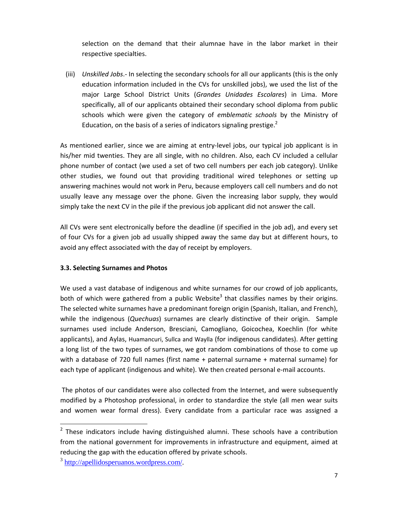selection on the demand that their alumnae have in the labor market in their respective specialties.

(iii) *Unskilled Jobs*.‐ In selecting the secondary schools for all our applicants (this is the only education information included in the CVs for unskilled jobs), we used the list of the major Large School District Units (*Grandes Unidades Escolares*) in Lima. More specifically, all of our applicants obtained their secondary school diploma from public schools which were given the category of *emblematic schools* by the Ministry of Education, on the basis of a series of indicators signaling prestige. $2$ 

As mentioned earlier, since we are aiming at entry‐level jobs, our typical job applicant is in his/her mid twenties. They are all single, with no children. Also, each CV included a cellular phone number of contact (we used a set of two cell numbers per each job category). Unlike other studies, we found out that providing traditional wired telephones or setting up answering machines would not work in Peru, because employers call cell numbers and do not usually leave any message over the phone. Given the increasing labor supply, they would simply take the next CV in the pile if the previous job applicant did not answer the call.

All CVs were sent electronically before the deadline (if specified in the job ad), and every set of four CVs for a given job ad usually shipped away the same day but at different hours, to avoid any effect associated with the day of receipt by employers.

## **3.3. Selecting Surnames and Photos**

We used a vast database of indigenous and white surnames for our crowd of job applicants, both of which were gathered from a public Website<sup>3</sup> that classifies names by their origins. The selected white surnames have a predominant foreign origin (Spanish, Italian, and French), while the indigenous (*Quechuas*) surnames are clearly distinctive of their origin. Sample surnames used include Anderson, Bresciani, Camogliano, Goicochea, Koechlin (for white applicants), and Aylas, Huamancuri, Sullca and Waylla (for indigenous candidates). After getting a long list of the two types of surnames, we got random combinations of those to come up with a database of 720 full names (first name + paternal surname + maternal surname) for each type of applicant (indigenous and white). We then created personal e-mail accounts.

The photos of our candidates were also collected from the Internet, and were subsequently modified by a Photoshop professional, in order to standardize the style (all men wear suits and women wear formal dress). Every candidate from a particular race was assigned a

 $2$  These indicators include having distinguished alumni. These schools have a contribution from the national government for improvements in infrastructure and equipment, aimed at reducing the gap with the education offered by private schools.

<sup>&</sup>lt;sup>3</sup> http://apellidosperuanos.wordpress.com/.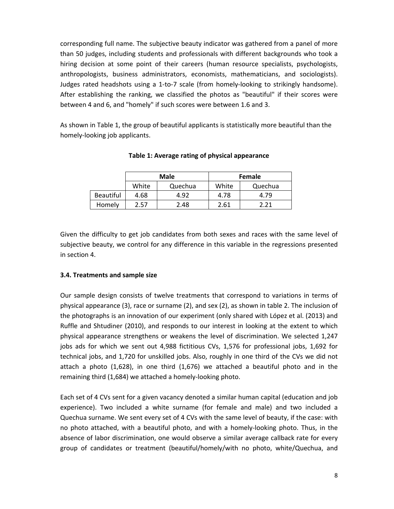corresponding full name. The subjective beauty indicator was gathered from a panel of more than 50 judges, including students and professionals with different backgrounds who took a hiring decision at some point of their careers (human resource specialists, psychologists, anthropologists, business administrators, economists, mathematicians, and sociologists). Judges rated headshots using a 1‐to‐7 scale (from homely‐looking to strikingly handsome). After establishing the ranking, we classified the photos as "beautiful" if their scores were between 4 and 6, and "homely" if such scores were between 1.6 and 3.

As shown in Table 1, the group of beautiful applicants is statistically more beautiful than the homely‐looking job applicants.

|                  |       | Male    | Female |         |  |
|------------------|-------|---------|--------|---------|--|
|                  | White | Quechua | White  | Quechua |  |
| <b>Beautiful</b> | 4.68  | 4.92    | 4.78   | 4.79    |  |
| Homely           | 2.57  | 2.48    | 2.61   | 2 21    |  |

**Table 1: Average rating of physical appearance**

Given the difficulty to get job candidates from both sexes and races with the same level of subjective beauty, we control for any difference in this variable in the regressions presented in section 4.

#### **3.4. Treatments and sample size**

Our sample design consists of twelve treatments that correspond to variations in terms of physical appearance (3), race or surname (2), and sex (2), as shown in table 2. The inclusion of the photographs is an innovation of our experiment (only shared with López et al. (2013) and Ruffle and Shtudiner (2010), and responds to our interest in looking at the extent to which physical appearance strengthens or weakens the level of discrimination. We selected 1,247 jobs ads for which we sent out 4,988 fictitious CVs, 1,576 for professional jobs, 1,692 for technical jobs, and 1,720 for unskilled jobs. Also, roughly in one third of the CVs we did not attach a photo (1,628), in one third (1,676) we attached a beautiful photo and in the remaining third (1,684) we attached a homely‐looking photo.

Each set of 4 CVs sent for a given vacancy denoted a similar human capital (education and job experience). Two included a white surname (for female and male) and two included a Quechua surname. We sent every set of 4 CVs with the same level of beauty, if the case: with no photo attached, with a beautiful photo, and with a homely-looking photo. Thus, in the absence of labor discrimination, one would observe a similar average callback rate for every group of candidates or treatment (beautiful/homely/with no photo, white/Quechua, and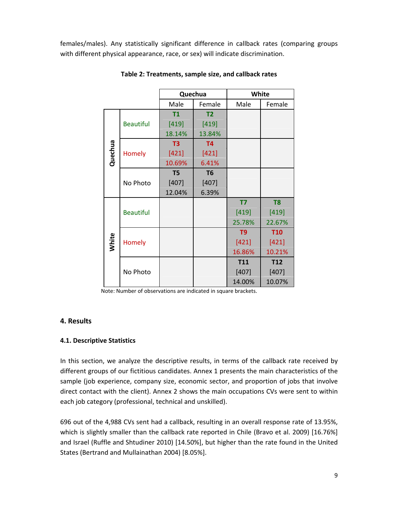females/males). Any statistically significant difference in callback rates (comparing groups with different physical appearance, race, or sex) will indicate discrimination.

|         |                  | Quechua        |                |                | White          |
|---------|------------------|----------------|----------------|----------------|----------------|
|         |                  | Male           | Female         | Male           | Female         |
|         |                  | <b>T1</b>      | T <sub>2</sub> |                |                |
|         | <b>Beautiful</b> | $[419]$        | [419]          |                |                |
|         |                  | 18.14%         | 13.84%         |                |                |
|         |                  | T <sub>3</sub> | <b>T4</b>      |                |                |
| Quechua | Homely           | $[421]$        | $[421]$        |                |                |
|         |                  | 10.69%         | 6.41%          |                |                |
|         |                  | T <sub>5</sub> | T <sub>6</sub> |                |                |
|         | No Photo         | $[407]$        | [407]          |                |                |
|         |                  | 12.04%         | 6.39%          |                |                |
|         |                  |                |                | T7             | T <sub>8</sub> |
|         | <b>Beautiful</b> |                |                | $[419]$        | $[419]$        |
|         |                  |                |                | 25.78%         | 22.67%         |
|         |                  |                |                | T <sub>9</sub> | <b>T10</b>     |
| White   | <b>Homely</b>    |                |                | [421]          | [421]          |
|         |                  |                |                | 16.86%         | 10.21%         |
|         |                  |                |                | <b>T11</b>     | <b>T12</b>     |
|         | No Photo         |                |                | [407]          | [407]          |
|         |                  |                |                | 14.00%         | 10.07%         |

**Table 2: Treatments, sample size, and callback rates**

Note: Number of observations are indicated in square brackets.

## **4. Results**

## **4.1. Descriptive Statistics**

In this section, we analyze the descriptive results, in terms of the callback rate received by different groups of our fictitious candidates. Annex 1 presents the main characteristics of the sample (job experience, company size, economic sector, and proportion of jobs that involve direct contact with the client). Annex 2 shows the main occupations CVs were sent to within each job category (professional, technical and unskilled).

696 out of the 4,988 CVs sent had a callback, resulting in an overall response rate of 13.95%, which is slightly smaller than the callback rate reported in Chile (Bravo et al. 2009) [16.76%] and Israel (Ruffle and Shtudiner 2010) [14.50%], but higher than the rate found in the United States (Bertrand and Mullainathan 2004) [8.05%].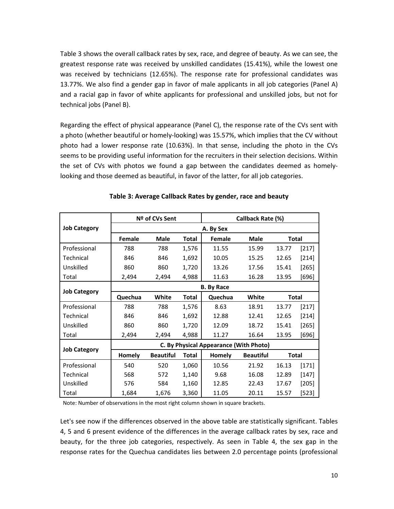Table 3 shows the overall callback rates by sex, race, and degree of beauty. As we can see, the greatest response rate was received by unskilled candidates (15.41%), while the lowest one was received by technicians (12.65%). The response rate for professional candidates was 13.77%. We also find a gender gap in favor of male applicants in all job categories (Panel A) and a racial gap in favor of white applicants for professional and unskilled jobs, but not for technical jobs (Panel B).

Regarding the effect of physical appearance (Panel C), the response rate of the CVs sent with a photo (whether beautiful or homely‐looking) was 15.57%, which implies that the CV without photo had a lower response rate (10.63%). In that sense, including the photo in the CVs seems to be providing useful information for the recruiters in their selection decisions. Within the set of CVs with photos we found a gap between the candidates deemed as homely‐ looking and those deemed as beautiful, in favor of the latter, for all job categories.

|                     |         | Nº of CVs Sent    |              |                                        | Callback Rate (%) |              |         |  |  |  |
|---------------------|---------|-------------------|--------------|----------------------------------------|-------------------|--------------|---------|--|--|--|
| <b>Job Category</b> |         |                   |              | A. By Sex                              |                   |              |         |  |  |  |
|                     | Female  | Male              | Total        | Female                                 | Male              | <b>Total</b> |         |  |  |  |
| Professional        | 788     | 788               | 1,576        | 11.55                                  | 15.99             | 13.77        | [217]   |  |  |  |
| Technical           | 846     | 846               | 1,692        | 10.05                                  | 15.25             | 12.65        | $[214]$ |  |  |  |
| Unskilled           | 860     | 860               | 1,720        | 13.26                                  | 17.56             | 15.41        | $[265]$ |  |  |  |
| Total               | 2,494   | 2,494             | 4,988        | 11.63                                  | 16.28             | 13.95        | $[696]$ |  |  |  |
| <b>Job Category</b> |         | <b>B.</b> By Race |              |                                        |                   |              |         |  |  |  |
|                     | Quechua | White             | Total        | Quechua                                | White             | <b>Total</b> |         |  |  |  |
| Professional        | 788     | 788               | 1,576        | 8.63                                   | 18.91             | 13.77        | $[217]$ |  |  |  |
| Technical           | 846     | 846               | 1,692        | 12.88                                  | 12.41             | 12.65        | $[214]$ |  |  |  |
| Unskilled           | 860     | 860               | 1,720        | 12.09                                  | 18.72             | 15.41        | $[265]$ |  |  |  |
| Total               | 2,494   | 2,494             | 4,988        | 11.27                                  | 16.64             | 13.95        | $[696]$ |  |  |  |
|                     |         |                   |              | C. By Physical Appearance (With Photo) |                   |              |         |  |  |  |
| <b>Job Category</b> | Homely  | <b>Beautiful</b>  | <b>Total</b> | Homely                                 | <b>Beautiful</b>  | <b>Total</b> |         |  |  |  |
| Professional        | 540     | 520               | 1,060        | 10.56                                  | 21.92             | 16.13        | $[171]$ |  |  |  |
| Technical           | 568     | 572               | 1,140        | 9.68                                   | 16.08             | 12.89        | $[147]$ |  |  |  |
| Unskilled           | 576     | 584               | 1,160        | 12.85                                  | 22.43             | 17.67        | $[205]$ |  |  |  |
| Total               | 1,684   | 1,676             | 3,360        | 11.05                                  | 20.11             | 15.57        | $[523]$ |  |  |  |

#### **Table 3: Average Callback Rates by gender, race and beauty**

Note: Number of observations in the most right column shown in square brackets.

Let's see now if the differences observed in the above table are statistically significant. Tables 4, 5 and 6 present evidence of the differences in the average callback rates by sex, race and beauty, for the three job categories, respectively. As seen in Table 4, the sex gap in the response rates for the Quechua candidates lies between 2.0 percentage points (professional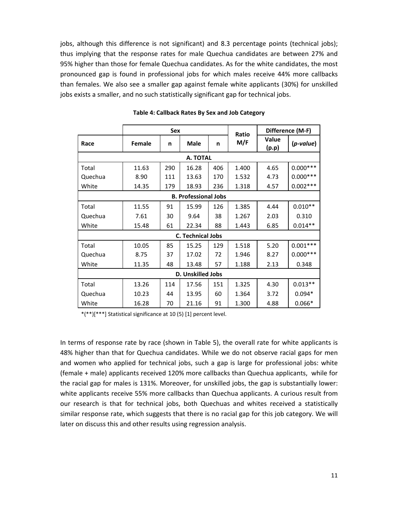jobs, although this difference is not significant) and 8.3 percentage points (technical jobs); thus implying that the response rates for male Quechua candidates are between 27% and 95% higher than those for female Quechua candidates. As for the white candidates, the most pronounced gap is found in professional jobs for which males receive 44% more callbacks than females. We also see a smaller gap against female white applicants (30%) for unskilled jobs exists a smaller, and no such statistically significant gap for technical jobs.

|          |                   | <b>Sex</b> |                             |     | Ratio |                | Difference (M-F) |  |  |
|----------|-------------------|------------|-----------------------------|-----|-------|----------------|------------------|--|--|
| Race     | Female            | n          | <b>Male</b>                 | n   | M/F   | Value<br>(p.p) | $(p$ -value)     |  |  |
| A. TOTAL |                   |            |                             |     |       |                |                  |  |  |
| Total    | 11.63             | 290        | 16.28                       | 406 | 1.400 | 4.65           | $0.000***$       |  |  |
| Quechua  | 8.90              | 111        | 13.63                       | 170 | 1.532 | 4.73           | $0.000***$       |  |  |
| White    | 14.35             | 179        | 18.93                       | 236 | 1.318 | 4.57           | $0.002***$       |  |  |
|          |                   |            | <b>B. Professional Jobs</b> |     |       |                |                  |  |  |
| Total    | 11.55             | 91         | 15.99                       | 126 | 1.385 | 4.44           | $0.010**$        |  |  |
| Quechua  | 7.61              | 30         | 9.64                        | 38  | 1.267 | 2.03           | 0.310            |  |  |
| White    | 15.48             | 61         | 22.34                       | 88  | 1.443 | 6.85           | $0.014**$        |  |  |
|          |                   |            | <b>C. Technical Jobs</b>    |     |       |                |                  |  |  |
| Total    | 10.05             | 85         | 15.25                       | 129 | 1.518 | 5.20           | $0.001***$       |  |  |
| Quechua  | 8.75              | 37         | 17.02                       | 72  | 1.946 | 8.27           | $0.000***$       |  |  |
| White    | 11.35             | 48         | 13.48                       | 57  | 1.188 | 2.13           | 0.348            |  |  |
|          | D. Unskilled Jobs |            |                             |     |       |                |                  |  |  |
| Total    | 13.26             | 114        | 17.56                       | 151 | 1.325 | 4.30           | $0.013**$        |  |  |
| Quechua  | 10.23             | 44         | 13.95                       | 60  | 1.364 | 3.72           | $0.094*$         |  |  |
| White    | 16.28             | 70         | 21.16                       | 91  | 1.300 | 4.88           | $0.066*$         |  |  |

#### **Table 4: Callback Rates By Sex and Job Category**

\*(\*\*)[\*\*\*] Statistical significance at 10 (5) [1] percent level.

In terms of response rate by race (shown in Table 5), the overall rate for white applicants is 48% higher than that for Quechua candidates. While we do not observe racial gaps for men and women who applied for technical jobs, such a gap is large for professional jobs: white (female + male) applicants received 120% more callbacks than Quechua applicants, while for the racial gap for males is 131%. Moreover, for unskilled jobs, the gap is substantially lower: white applicants receive 55% more callbacks than Quechua applicants. A curious result from our research is that for technical jobs, both Quechuas and whites received a statistically similar response rate, which suggests that there is no racial gap for this job category. We will later on discuss this and other results using regression analysis.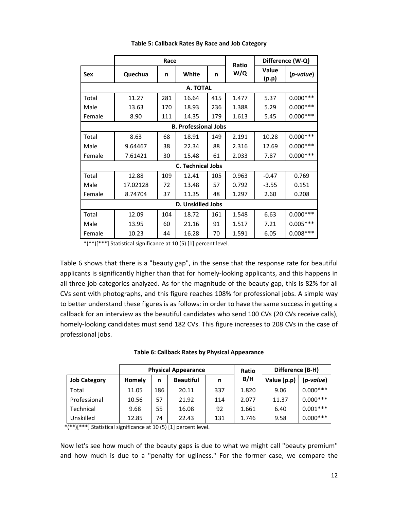|            |          | Race |                             |     | <b>Ratio</b> |                       | Difference (W-Q) |
|------------|----------|------|-----------------------------|-----|--------------|-----------------------|------------------|
| <b>Sex</b> | Quechua  | n    | White                       | n   | W/Q          | <b>Value</b><br>(p.p) | (p-value)        |
|            |          |      | A. TOTAL                    |     |              |                       |                  |
| Total      | 11.27    | 281  | 16.64                       | 415 | 1.477        | 5.37                  | $0.000***$       |
| Male       | 13.63    | 170  | 18.93                       | 236 | 1.388        | 5.29                  | $0.000***$       |
| Female     | 8.90     | 111  | 14.35                       | 179 | 1.613        | 5.45                  | $0.000***$       |
|            |          |      | <b>B. Professional Jobs</b> |     |              |                       |                  |
| Total      | 8.63     | 68   | 18.91                       | 149 | 2.191        | 10.28                 | $0.000***$       |
| Male       | 9.64467  | 38   | 22.34                       | 88  | 2.316        | 12.69                 | $0.000***$       |
| Female     | 7.61421  | 30   | 15.48                       | 61  | 2.033        | 7.87                  | $0.000***$       |
|            |          |      | <b>C. Technical Jobs</b>    |     |              |                       |                  |
| Total      | 12.88    | 109  | 12.41                       | 105 | 0.963        | $-0.47$               | 0.769            |
| Male       | 17.02128 | 72   | 13.48                       | 57  | 0.792        | $-3.55$               | 0.151            |
| Female     | 8.74704  | 37   | 11.35                       | 48  | 1.297        | 2.60                  | 0.208            |
|            |          |      | <b>D. Unskilled Jobs</b>    |     |              |                       |                  |
| Total      | 12.09    | 104  | 18.72                       | 161 | 1.548        | 6.63                  | $0.000***$       |
| Male       | 13.95    | 60   | 21.16                       | 91  | 1.517        | 7.21                  | $0.005***$       |
| Female     | 10.23    | 44   | 16.28                       | 70  | 1.591        | 6.05                  | $0.008***$       |

#### **Table 5: Callback Rates By Race and Job Category**

\*(\*\*)[\*\*\*] Statistical significance at 10 (5) [1] percent level.

Table 6 shows that there is a "beauty gap", in the sense that the response rate for beautiful applicants is significantly higher than that for homely‐looking applicants, and this happens in all three job categories analyzed. As for the magnitude of the beauty gap, this is 82% for all CVs sent with photographs, and this figure reaches 108% for professional jobs. A simple way to better understand these figures is as follows: in order to have the same success in getting a callback for an interview as the beautiful candidates who send 100 CVs (20 CVs receive calls), homely-looking candidates must send 182 CVs. This figure increases to 208 CVs in the case of professional jobs.

| Table 6: Callback Rates by Physical Appearance |  |
|------------------------------------------------|--|
|------------------------------------------------|--|

|                     | <b>Physical Appearance</b> |                            |       |     | Ratio       | Difference (B-H) |            |
|---------------------|----------------------------|----------------------------|-------|-----|-------------|------------------|------------|
| <b>Job Category</b> | <b>Homely</b>              | <b>Beautiful</b><br>n<br>n |       | B/H | Value (p.p) | (p-value)        |            |
| Total               | 11.05                      | 186                        | 20.11 | 337 | 1.820       | 9.06             | $0.000***$ |
| Professional        | 10.56                      | 57                         | 21.92 | 114 | 2.077       | 11.37            | $0.000***$ |
| Technical           | 9.68                       | 55                         | 16.08 | 92  | 1.661       | 6.40             | $0.001***$ |
| Unskilled           | 12.85                      | 74                         | 22.43 | 131 | 1.746       | 9.58             | $0.000***$ |

 $*\overline{(**)}$ [\*\*\*] Statistical significance at 10 (5) [1] percent level.

Now let's see how much of the beauty gaps is due to what we might call "beauty premium" and how much is due to a "penalty for ugliness." For the former case, we compare the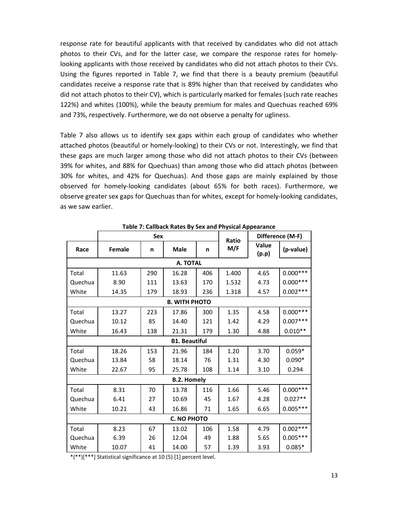response rate for beautiful applicants with that received by candidates who did not attach photos to their CVs, and for the latter case, we compare the response rates for homely‐ looking applicants with those received by candidates who did not attach photos to their CVs. Using the figures reported in Table 7, we find that there is a beauty premium (beautiful candidates receive a response rate that is 89% higher than that received by candidates who did not attach photos to their CV), which is particularly marked for females (such rate reaches 122%) and whites (100%), while the beauty premium for males and Quechuas reached 69% and 73%, respectively. Furthermore, we do not observe a penalty for ugliness.

Table 7 also allows us to identify sex gaps within each group of candidates who whether attached photos (beautiful or homely‐looking) to their CVs or not. Interestingly, we find that these gaps are much larger among those who did not attach photos to their CVs (between 39% for whites, and 88% for Quechuas) than among those who did attach photos (between 30% for whites, and 42% for Quechuas). And those gaps are mainly explained by those observed for homely‐looking candidates (about 65% for both races). Furthermore, we observe greater sex gaps for Quechuas than for whites, except for homely‐looking candidates, as we saw earlier.

|         |               | <b>Sex</b> |                      |     | Ratio | Difference (M-F) |            |
|---------|---------------|------------|----------------------|-----|-------|------------------|------------|
| Race    | <b>Female</b> | n          | <b>Male</b>          | n   | M/F   | Value<br>(p.p)   | (p-value)  |
|         |               |            | A. TOTAL             |     |       |                  |            |
| Total   | 11.63         | 290        | 16.28                | 406 | 1.400 | 4.65             | $0.000***$ |
| Quechua | 8.90          | 111        | 13.63                | 170 | 1.532 | 4.73             | $0.000***$ |
| White   | 14.35         | 179        | 18.93                | 236 | 1.318 | 4.57             | $0.002***$ |
|         |               |            | <b>B. WITH PHOTO</b> |     |       |                  |            |
| Total   | 13.27         | 223        | 17.86                | 300 | 1.35  | 4.58             | $0.000***$ |
| Quechua | 10.12         | 85         | 14.40                | 121 | 1.42  | 4.29             | $0.007***$ |
| White   | 16.43         | 138        | 21.31                | 179 | 1.30  | 4.88             | $0.010**$  |
|         |               |            | <b>B1. Beautiful</b> |     |       |                  |            |
| Total   | 18.26         | 153        | 21.96                | 184 | 1.20  | 3.70             | $0.059*$   |
| Quechua | 13.84         | 58         | 18.14                | 76  | 1.31  | 4.30             | $0.090*$   |
| White   | 22.67         | 95         | 25.78                | 108 | 1.14  | 3.10             | 0.294      |
|         |               |            | <b>B.2. Homely</b>   |     |       |                  |            |
| Total   | 8.31          | 70         | 13.78                | 116 | 1.66  | 5.46             | $0.000***$ |
| Quechua | 6.41          | 27         | 10.69                | 45  | 1.67  | 4.28             | $0.027**$  |
| White   | 10.21         | 43         | 16.86                | 71  | 1.65  | 6.65             | $0.005***$ |
|         |               |            | <b>C. NO PHOTO</b>   |     |       |                  |            |
| Total   | 8.23          | 67         | 13.02                | 106 | 1.58  | 4.79             | $0.002***$ |
| Quechua | 6.39          | 26         | 12.04                | 49  | 1.88  | 5.65             | $0.005***$ |
| White   | 10.07         | 41         | 14.00                | 57  | 1.39  | 3.93             | $0.085*$   |

**Table 7: Callback Rates By Sex and Physical Appearance**

\*(\*\*)[\*\*\*] Statistical significance at 10 (5) [1] percent level.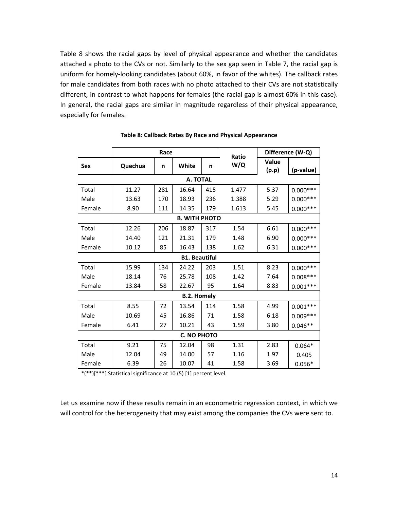Table 8 shows the racial gaps by level of physical appearance and whether the candidates attached a photo to the CVs or not. Similarly to the sex gap seen in Table 7, the racial gap is uniform for homely‐looking candidates (about 60%, in favor of the whites). The callback rates for male candidates from both races with no photo attached to their CVs are not statistically different, in contrast to what happens for females (the racial gap is almost 60% in this case). In general, the racial gaps are similar in magnitude regardless of their physical appearance, especially for females.

|            |         | Race |                      |     | Ratio |                       | Difference (W-Q) |  |
|------------|---------|------|----------------------|-----|-------|-----------------------|------------------|--|
| <b>Sex</b> | Quechua | n    | White                | n   | W/Q   | <b>Value</b><br>(p.p) | (p-value)        |  |
| A. TOTAL   |         |      |                      |     |       |                       |                  |  |
| Total      | 11.27   | 281  | 16.64                | 415 | 1.477 | 5.37                  | $0.000***$       |  |
| Male       | 13.63   | 170  | 18.93                | 236 | 1.388 | 5.29                  | $0.000***$       |  |
| Female     | 8.90    | 111  | 14.35                | 179 | 1.613 | 5.45                  | $0.000***$       |  |
|            |         |      | <b>B. WITH PHOTO</b> |     |       |                       |                  |  |
| Total      | 12.26   | 206  | 18.87                | 317 | 1.54  | 6.61                  | $0.000***$       |  |
| Male       | 14.40   | 121  | 21.31                | 179 | 1.48  | 6.90                  | $0.000***$       |  |
| Female     | 10.12   | 85   | 16.43                | 138 | 1.62  | 6.31                  | $0.000***$       |  |
|            |         |      | <b>B1. Beautiful</b> |     |       |                       |                  |  |
| Total      | 15.99   | 134  | 24.22                | 203 | 1.51  | 8.23                  | $0.000***$       |  |
| Male       | 18.14   | 76   | 25.78                | 108 | 1.42  | 7.64                  | $0.008***$       |  |
| Female     | 13.84   | 58   | 22.67                | 95  | 1.64  | 8.83                  | $0.001***$       |  |
|            |         |      | <b>B.2. Homely</b>   |     |       |                       |                  |  |
| Total      | 8.55    | 72   | 13.54                | 114 | 1.58  | 4.99                  | $0.001***$       |  |
| Male       | 10.69   | 45   | 16.86                | 71  | 1.58  | 6.18                  | $0.009***$       |  |
| Female     | 6.41    | 27   | 10.21                | 43  | 1.59  | 3.80                  | $0.046**$        |  |
|            |         |      | <b>C. NO PHOTO</b>   |     |       |                       |                  |  |
| Total      | 9.21    | 75   | 12.04                | 98  | 1.31  | 2.83                  | $0.064*$         |  |
| Male       | 12.04   | 49   | 14.00                | 57  | 1.16  | 1.97                  | 0.405            |  |
| Female     | 6.39    | 26   | 10.07                | 41  | 1.58  | 3.69                  | $0.056*$         |  |

**Table 8: Callback Rates By Race and Physical Appearance**

\*(\*\*)[\*\*\*] Statistical significance at 10 (5) [1] percent level.

Let us examine now if these results remain in an econometric regression context, in which we will control for the heterogeneity that may exist among the companies the CVs were sent to.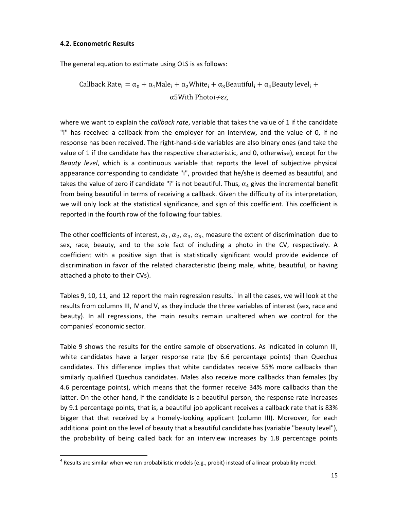#### **4.2. Econometric Results**

The general equation to estimate using OLS is as follows:

Callback Rate<sub>i</sub> =  $\alpha_0 + \alpha_1$ Male<sub>i</sub> +  $\alpha_2$ White<sub>i</sub> +  $\alpha_3$ Beautiful<sub>i</sub> +  $\alpha_4$ Beauty level<sub>i</sub> + α5With Photoi  $+ε$ *i*,

where we want to explain the *callback rate*, variable that takes the value of 1 if the candidate "i" has received a callback from the employer for an interview, and the value of 0, if no response has been received. The right‐hand‐side variables are also binary ones (and take the value of 1 if the candidate has the respective characteristic, and 0, otherwise), except for the *Beauty level*, which is a continuous variable that reports the level of subjective physical appearance corresponding to candidate "i", provided that he/she is deemed as beautiful, and takes the value of zero if candidate "i" is not beautiful. Thus,  $\alpha_4$  gives the incremental benefit from being beautiful in terms of receiving a callback. Given the difficulty of its interpretation, we will only look at the statistical significance, and sign of this coefficient. This coefficient is reported in the fourth row of the following four tables.

The other coefficients of interest,  $\alpha_1$ ,  $\alpha_2$ ,  $\alpha_3$ ,  $\alpha_5$ , measure the extent of discrimination due to sex, race, beauty, and to the sole fact of including a photo in the CV, respectively. A coefficient with a positive sign that is statistically significant would provide evidence of discrimination in favor of the related characteristic (being male, white, beautiful, or having attached a photo to their CVs).

Tables 9, 10, 11, and 12 report the main regression results.<sup>4</sup> In all the cases, we will look at the results from columns III, IV and V, as they include the three variables of interest (sex, race and beauty). In all regressions, the main results remain unaltered when we control for the companies' economic sector.

Table 9 shows the results for the entire sample of observations. As indicated in column III, white candidates have a larger response rate (by 6.6 percentage points) than Quechua candidates. This difference implies that white candidates receive 55% more callbacks than similarly qualified Quechua candidates. Males also receive more callbacks than females (by 4.6 percentage points), which means that the former receive 34% more callbacks than the latter. On the other hand, if the candidate is a beautiful person, the response rate increases by 9.1 percentage points, that is, a beautiful job applicant receives a callback rate that is 83% bigger that that received by a homely-looking applicant (column III). Moreover, for each additional point on the level of beauty that a beautiful candidate has (variable "beauty level"), the probability of being called back for an interview increases by 1.8 percentage points

 $^4$  Results are similar when we run probabilistic models (e.g., probit) instead of a linear probability model.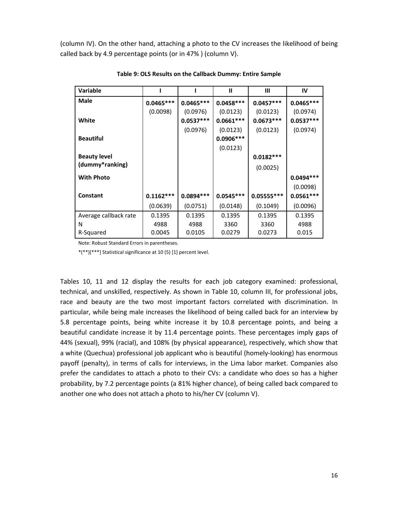(column IV). On the other hand, attaching a photo to the CV increases the likelihood of being called back by 4.9 percentage points (or in 47% ) (column V).

| <b>Variable</b>       |             |             | Ш           | Ш            | IV          |
|-----------------------|-------------|-------------|-------------|--------------|-------------|
| Male                  | $0.0465***$ | $0.0465***$ | $0.0458***$ | $0.0457***$  | $0.0465***$ |
|                       | (0.0098)    | (0.0976)    | (0.0123)    | (0.0123)     | (0.0974)    |
| White                 |             | $0.0537***$ | $0.0661***$ | $0.0673***$  | $0.0537***$ |
|                       |             | (0.0976)    | (0.0123)    | (0.0123)     | (0.0974)    |
| <b>Beautiful</b>      |             |             | $0.0906***$ |              |             |
|                       |             |             | (0.0123)    |              |             |
| <b>Beauty level</b>   |             |             |             | $0.0182***$  |             |
| (dummy*ranking)       |             |             |             | (0.0025)     |             |
| <b>With Photo</b>     |             |             |             |              | $0.0494***$ |
|                       |             |             |             |              | (0.0098)    |
| Constant              | $0.1162***$ | $0.0894***$ | $0.0545***$ | $0.05555***$ | $0.0561***$ |
|                       | (0.0639)    | (0.0751)    | (0.0148)    | (0.1049)     | (0.0096)    |
| Average callback rate | 0.1395      | 0.1395      | 0.1395      | 0.1395       | 0.1395      |
| N                     | 4988        | 4988        | 3360        | 3360         | 4988        |
| R-Squared             | 0.0045      | 0.0105      | 0.0279      | 0.0273       | 0.015       |

**Table 9: OLS Results on the Callback Dummy: Entire Sample**

Note: Robust Standard Errors in parentheses.

\*(\*\*)[\*\*\*] Statistical significance at 10 (5) [1] percent level.

Tables 10, 11 and 12 display the results for each job category examined: professional, technical, and unskilled, respectively. As shown in Table 10, column III, for professional jobs, race and beauty are the two most important factors correlated with discrimination. In particular, while being male increases the likelihood of being called back for an interview by 5.8 percentage points, being white increase it by 10.8 percentage points, and being a beautiful candidate increase it by 11.4 percentage points. These percentages imply gaps of 44% (sexual), 99% (racial), and 108% (by physical appearance), respectively, which show that a white (Quechua) professional job applicant who is beautiful (homely‐looking) has enormous payoff (penalty), in terms of calls for interviews, in the Lima labor market. Companies also prefer the candidates to attach a photo to their CVs: a candidate who does so has a higher probability, by 7.2 percentage points (a 81% higher chance), of being called back compared to another one who does not attach a photo to his/her CV (column V).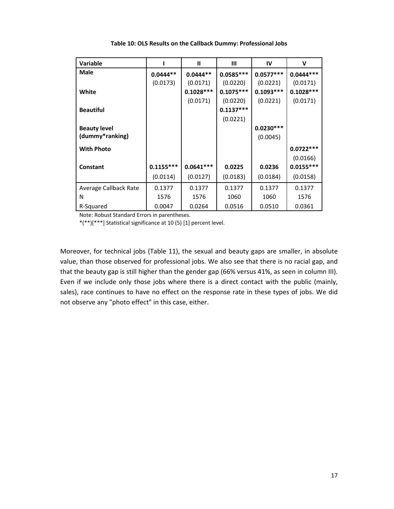| Variable              |             | $\mathbf{I}$ | Ш           | IV          | v           |
|-----------------------|-------------|--------------|-------------|-------------|-------------|
| Male                  | $0.0444**$  | $0.0444**$   | $0.0585***$ | $0.0577***$ | $0.0444***$ |
|                       | (0.0173)    | (0.0171)     | (0.0220)    | (0.0221)    | (0.0171)    |
| White                 |             | $0.1028***$  | $0.1075***$ | $0.1093***$ | $0.1028***$ |
|                       |             | (0.0171)     | (0.0220)    | (0.0221)    | (0.0171)    |
| <b>Beautiful</b>      |             |              | $0.1137***$ |             |             |
|                       |             |              | (0.0221)    |             |             |
| <b>Beauty level</b>   |             |              |             | $0.0230***$ |             |
| (dummy*ranking)       |             |              |             | (0.0045)    |             |
| <b>With Photo</b>     |             |              |             |             | $0.0722***$ |
|                       |             |              |             |             | (0.0166)    |
| Constant              | $0.1155***$ | $0.0641***$  | 0.0225      | 0.0236      | $0.0155***$ |
|                       | (0.0114)    | (0.0127)     | (0.0183)    | (0.0184)    | (0.0158)    |
| Average Callback Rate | 0.1377      | 0.1377       | 0.1377      | 0.1377      | 0.1377      |
| N                     | 1576        | 1576         | 1060        | 1060        | 1576        |
| R-Squared             | 0.0047      | 0.0264       | 0.0516      | 0.0510      | 0.0361      |

**Table 10: OLS Results on the Callback Dummy: Professional Jobs**

Note: Robust Standard Errors in parentheses.

\*(\*\*)[\*\*\*] Statistical significance at 10 (5) [1] percent level.

Moreover, for technical jobs (Table 11), the sexual and beauty gaps are smaller, in absolute value, than those observed for professional jobs. We also see that there is no racial gap, and that the beauty gap is still higher than the gender gap (66% versus 41%, as seen in column III). Even if we include only those jobs where there is a direct contact with the public (mainly, sales), race continues to have no effect on the response rate in these types of jobs. We did not observe any "photo effect" in this case, either.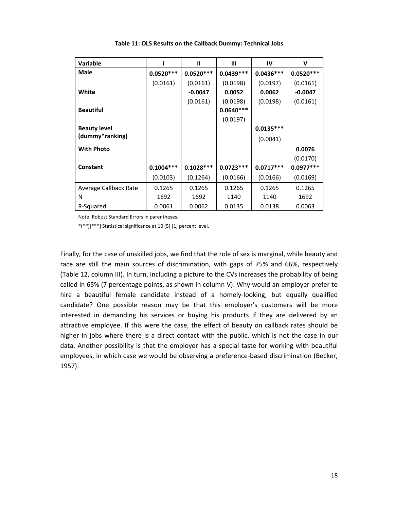| <b>Variable</b>       |             | Ш           | Ш           | IV          | v           |
|-----------------------|-------------|-------------|-------------|-------------|-------------|
| Male                  | $0.0520***$ | $0.0520***$ | $0.0439***$ | $0.0436***$ | $0.0520***$ |
|                       | (0.0161)    | (0.0161)    | (0.0198)    | (0.0197)    | (0.0161)    |
| White                 |             | $-0.0047$   | 0.0052      | 0.0062      | $-0.0047$   |
|                       |             | (0.0161)    | (0.0198)    | (0.0198)    | (0.0161)    |
| <b>Beautiful</b>      |             |             | $0.0640***$ |             |             |
|                       |             |             | (0.0197)    |             |             |
| <b>Beauty level</b>   |             |             |             | $0.0135***$ |             |
| (dummy*ranking)       |             |             |             | (0.0041)    |             |
| <b>With Photo</b>     |             |             |             |             | 0.0076      |
|                       |             |             |             |             | (0.0170)    |
| <b>Constant</b>       | $0.1004***$ | $0.1028***$ | $0.0723***$ | $0.0717***$ | $0.0977***$ |
|                       | (0.0103)    | (0.1264)    | (0.0166)    | (0.0166)    | (0.0169)    |
| Average Callback Rate | 0.1265      | 0.1265      | 0.1265      | 0.1265      | 0.1265      |
| N                     | 1692        | 1692        | 1140        | 1140        | 1692        |
| R-Squared             | 0.0061      | 0.0062      | 0.0135      | 0.0138      | 0.0063      |

**Table 11: OLS Results on the Callback Dummy: Technical Jobs**

Note: Robust Standard Errors in parentheses.

\*(\*\*)[\*\*\*] Statistical significance at 10 (5) [1] percent level.

Finally, for the case of unskilled jobs, we find that the role of sex is marginal, while beauty and race are still the main sources of discrimination, with gaps of 75% and 66%, respectively (Table 12, column III). In turn, including a picture to the CVs increases the probability of being called in 65% (7 percentage points, as shown in column V). Why would an employer prefer to hire a beautiful female candidate instead of a homely‐looking, but equally qualified candidate? One possible reason may be that this employer's customers will be more interested in demanding his services or buying his products if they are delivered by an attractive employee. If this were the case, the effect of beauty on callback rates should be higher in jobs where there is a direct contact with the public, which is not the case in our data. Another possibility is that the employer has a special taste for working with beautiful employees, in which case we would be observing a preference-based discrimination (Becker, 1957).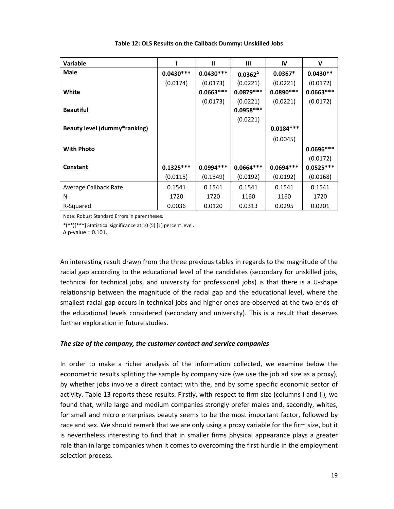| <b>Variable</b>                     |             | $\mathbf{I}$ | $\mathbf{III}$   | IV          | v           |
|-------------------------------------|-------------|--------------|------------------|-------------|-------------|
| Male                                | $0.0430***$ | $0.0430***$  | $0.0362^{\circ}$ | $0.0367*$   | $0.0430**$  |
|                                     | (0.0174)    | (0.0173)     | (0.0221)         | (0.0221)    | (0.0172)    |
| White                               |             | $0.0663***$  | $0.0879***$      | $0.0890***$ | $0.0663***$ |
|                                     |             | (0.0173)     | (0.0221)         | (0.0221)    | (0.0172)    |
| <b>Beautiful</b>                    |             |              | $0.0958***$      |             |             |
|                                     |             |              | (0.0221)         |             |             |
| <b>Beauty level (dummy*ranking)</b> |             |              |                  | $0.0184***$ |             |
|                                     |             |              |                  | (0.0045)    |             |
| <b>With Photo</b>                   |             |              |                  |             | $0.0696***$ |
|                                     |             |              |                  |             | (0.0172)    |
| Constant                            | $0.1325***$ | $0.0994***$  | $0.0664***$      | $0.0694***$ | $0.0525***$ |
|                                     | (0.0115)    | (0.1349)     | (0.0192)         | (0.0192)    | (0.0168)    |
| Average Callback Rate               | 0.1541      | 0.1541       | 0.1541           | 0.1541      | 0.1541      |
| N                                   | 1720        | 1720         | 1160             | 1160        | 1720        |
| R-Squared                           | 0.0036      | 0.0120       | 0.0313           | 0.0295      | 0.0201      |

**Table 12: OLS Results on the Callback Dummy: Unskilled Jobs**

Note: Robust Standard Errors in parentheses.

\*(\*\*)[\*\*\*] Statistical significance at 10 (5) [1] percent level.

 $\Delta$  p-value = 0.101.

An interesting result drawn from the three previous tables in regards to the magnitude of the racial gap according to the educational level of the candidates (secondary for unskilled jobs, technical for technical jobs, and university for professional jobs) is that there is a U‐shape relationship between the magnitude of the racial gap and the educational level, where the smallest racial gap occurs in technical jobs and higher ones are observed at the two ends of the educational levels considered (secondary and university). This is a result that deserves further exploration in future studies.

#### *The size of the company, the customer contact and service companies*

In order to make a richer analysis of the information collected, we examine below the econometric results splitting the sample by company size (we use the job ad size as a proxy), by whether jobs involve a direct contact with the, and by some specific economic sector of activity. Table 13 reports these results. Firstly, with respect to firm size (columns I and II), we found that, while large and medium companies strongly prefer males and, secondly, whites, for small and micro enterprises beauty seems to be the most important factor, followed by race and sex. We should remark that we are only using a proxy variable for the firm size, but it is nevertheless interesting to find that in smaller firms physical appearance plays a greater role than in large companies when it comes to overcoming the first hurdle in the employment selection process.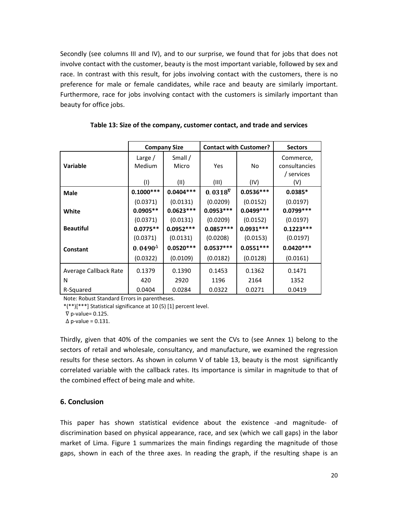Secondly (see columns III and IV), and to our surprise, we found that for jobs that does not involve contact with the customer, beauty is the most important variable, followed by sex and race. In contrast with this result, for jobs involving contact with the customers, there is no preference for male or female candidates, while race and beauty are similarly important. Furthermore, race for jobs involving contact with the customers is similarly important than beauty for office jobs.

|                       |                   | <b>Company Size</b> | <b>Contact with Customer?</b> |             | <b>Sectors</b>                           |  |
|-----------------------|-------------------|---------------------|-------------------------------|-------------|------------------------------------------|--|
| <b>Variable</b>       | Large /<br>Medium | Small $/$<br>Micro  | Yes                           | No          | Commerce,<br>consultancies<br>/ services |  |
|                       | (1)               | (II)                | (III)                         | (IV)        | (V)                                      |  |
| <b>Male</b>           | $0.1000***$       | $0.0404***$         | $0.0318$ <sup>V</sup>         | $0.0536***$ | $0.0385*$                                |  |
|                       | (0.0371)          | (0.0131)            | (0.0209)                      | (0.0152)    | (0.0197)                                 |  |
| White                 | $0.0905**$        | $0.0623***$         | $0.0953***$                   | $0.0499***$ | $0.0799***$                              |  |
|                       | (0.0371)          | (0.0131)            | (0.0209)                      | (0.0152)    | (0.0197)                                 |  |
| <b>Beautiful</b>      | $0.0775**$        | $0.0952***$         | $0.0857***$                   | $0.0931***$ | $0.1223***$                              |  |
|                       | (0.0371)          | (0.0131)            | (0.0208)                      | (0.0153)    | (0.0197)                                 |  |
| <b>Constant</b>       | $0.0490^{\circ}$  | $0.0520***$         | $0.0537***$                   | $0.0551***$ | $0.0420***$                              |  |
|                       | (0.0322)          | (0.0109)            | (0.0182)                      | (0.0128)    | (0.0161)                                 |  |
| Average Callback Rate | 0.1379            | 0.1390              | 0.1453                        | 0.1362      | 0.1471                                   |  |
| N                     | 420               | 2920                | 1196                          | 2164        | 1352                                     |  |
| R-Squared             | 0.0404            | 0.0284              | 0.0322                        | 0.0271      | 0.0419                                   |  |

**Table 13: Size of the company, customer contact, and trade and services**

Note: Robust Standard Errors in parentheses.

\*(\*\*)[\*\*\*] Statistical significance at 10 (5) [1] percent level.

 $\nabla$  p-value= 0.125.

 $\Delta$  p-value = 0.131.

Thirdly, given that 40% of the companies we sent the CVs to (see Annex 1) belong to the sectors of retail and wholesale, consultancy, and manufacture, we examined the regression results for these sectors. As shown in column V of table 13, beauty is the most significantly correlated variable with the callback rates. Its importance is similar in magnitude to that of the combined effect of being male and white.

## **6. Conclusion**

This paper has shown statistical evidence about the existence -and magnitude- of discrimination based on physical appearance, race, and sex (which we call gaps) in the labor market of Lima. Figure 1 summarizes the main findings regarding the magnitude of those gaps, shown in each of the three axes. In reading the graph, if the resulting shape is an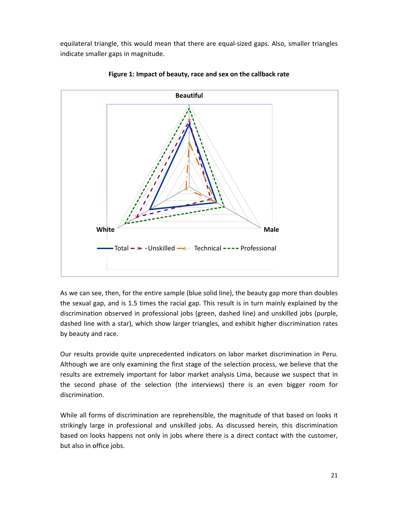equilateral triangle, this would mean that there are equal‐sized gaps. Also, smaller triangles indicate smaller gaps in magnitude.



**Figure 1: Impact of beauty, race and sex on the callback rate**

As we can see, then, for the entire sample (blue solid line), the beauty gap more than doubles the sexual gap, and is 1.5 times the racial gap. This result is in turn mainly explained by the discrimination observed in professional jobs (green, dashed line) and unskilled jobs (purple, dashed line with a star), which show larger triangles, and exhibit higher discrimination rates by beauty and race.

Our results provide quite unprecedented indicators on labor market discrimination in Peru. Although we are only examining the first stage of the selection process, we believe that the results are extremely important for labor market analysis Lima, because we suspect that in the second phase of the selection (the interviews) there is an even bigger room for discrimination.

While all forms of discrimination are reprehensible, the magnitude of that based on looks it strikingly large in professional and unskilled jobs. As discussed herein, this discrimination based on looks happens not only in jobs where there is a direct contact with the customer, but also in office jobs.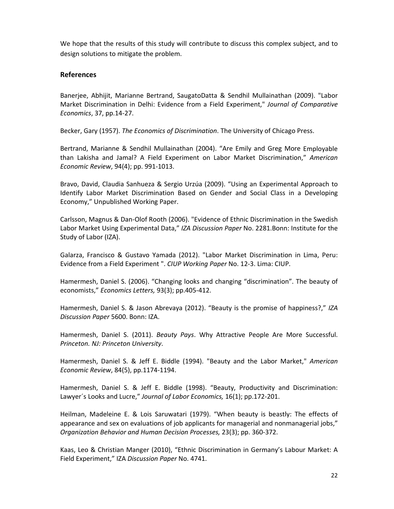We hope that the results of this study will contribute to discuss this complex subject, and to design solutions to mitigate the problem.

## **References**

Banerjee, Abhijit, Marianne Bertrand, SaugatoDatta & Sendhil Mullainathan (2009). "Labor Market Discrimination in Delhi: Evidence from a Field Experiment," *Journal of Comparative Economics*, 37, pp.14‐27.

Becker, Gary (1957). *The Economics of Discrimination*. The University of Chicago Press.

Bertrand, Marianne & Sendhil Mullainathan (2004). "Are Emily and Greg More Employable than Lakisha and Jamal? A Field Experiment on Labor Market Discrimination," *American Economic Review*, 94(4); pp. 991‐1013.

Bravo, David, Claudia Sanhueza & Sergio Urzúa (2009). "Using an Experimental Approach to Identify Labor Market Discrimination Based on Gender and Social Class in a Developing Economy," Unpublished Working Paper.

Carlsson, Magnus & Dan‐Olof Rooth (2006). "Evidence of Ethnic Discrimination in the Swedish Labor Market Using Experimental Data," *IZA Discussion Paper* No. 2281.Bonn: Institute for the Study of Labor (IZA).

Galarza, Francisco & Gustavo Yamada (2012). "Labor Market Discrimination in Lima, Peru: Evidence from a Field Experiment ". *CIUP Working Paper* No. 12‐3. Lima: CIUP.

Hamermesh, Daniel S. (2006). "Changing looks and changing "discrimination". The beauty of economists," *Economics Letters,* 93(3); pp.405‐412.

Hamermesh, Daniel S. & Jason Abrevaya (2012). "Beauty is the promise of happiness?," *IZA Discussion Paper* 5600. Bonn: IZA.

Hamermesh, Daniel S. (2011). *Beauty Pays*. Why Attractive People Are More Successful. *Princeton. NJ: Princeton University*.

Hamermesh, Daniel S. & Jeff E. Biddle (1994). "Beauty and the Labor Market," *American Economic Review*, 84(5), pp.1174‐1194.

Hamermesh, Daniel S. & Jeff E. Biddle (1998). "Beauty, Productivity and Discrimination: Lawyer´s Looks and Lucre," *Journal of Labor Economics,* 16(1); pp.172‐201.

Heilman, Madeleine E. & Lois Saruwatari (1979). "When beauty is beastly: The effects of appearance and sex on evaluations of job applicants for managerial and nonmanagerial jobs," *Organization Behavior and Human Decision Processes,* 23(3); pp. 360‐372.

Kaas, Leo & Christian Manger (2010), "Ethnic Discrimination in Germany's Labour Market: A Field Experiment," IZA *Discussion Paper* No. 4741.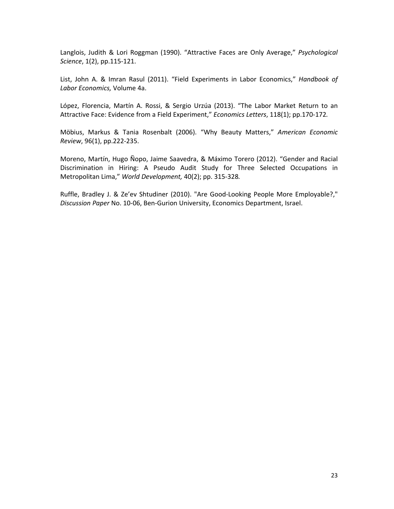Langlois, Judith & Lori Roggman (1990). "Attractive Faces are Only Average," *Psychological Science*, 1(2), pp.115‐121.

List, John A. & Imran Rasul (2011). "Field Experiments in Labor Economics," *Handbook of Labor Economics,* Volume 4a.

López, Florencia, Martín A. Rossi, & Sergio Urzúa (2013). "The Labor Market Return to an Attractive Face: Evidence from a Field Experiment," *Economics Letters*, 118(1); pp.170‐172*.*

Möbius, Markus & Tania Rosenbalt (2006). "Why Beauty Matters," *American Economic Review*, 96(1), pp.222‐235.

Moreno, Martín, Hugo Ñopo, Jaime Saavedra, & Máximo Torero (2012). "Gender and Racial Discrimination in Hiring: A Pseudo Audit Study for Three Selected Occupations in Metropolitan Lima," *World Development,* 40(2); pp. 315‐328*.*

Ruffle, Bradley J. & Ze'ev Shtudiner (2010). "Are Good‐Looking People More Employable?," *Discussion Paper* No. 10‐06, Ben‐Gurion University, Economics Department, Israel.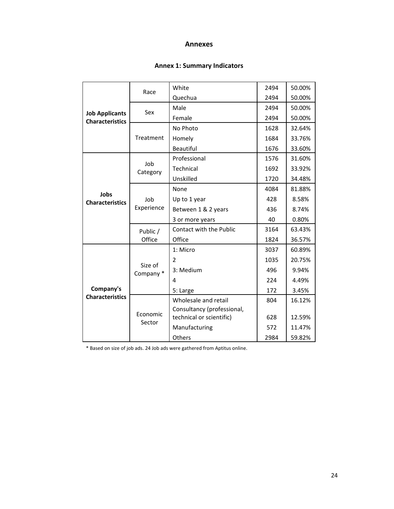#### **Annexes**

# **Annex 1: Summary Indicators**

| <b>Job Applicants</b><br><b>Characteristics</b> | Race                 | White                      | 2494 | 50.00% |
|-------------------------------------------------|----------------------|----------------------------|------|--------|
|                                                 |                      | Quechua                    | 2494 | 50.00% |
|                                                 | Sex                  | Male                       | 2494 | 50.00% |
|                                                 |                      | Female                     | 2494 | 50.00% |
|                                                 | Treatment            | No Photo                   | 1628 | 32.64% |
|                                                 |                      | Homely                     | 1684 | 33.76% |
|                                                 |                      | Beautiful                  | 1676 | 33.60% |
|                                                 | Job<br>Category      | Professional               | 1576 | 31.60% |
| Jobs<br><b>Characteristics</b>                  |                      | Technical                  | 1692 | 33.92% |
|                                                 |                      | Unskilled                  | 1720 | 34.48% |
|                                                 | Job<br>Experience    | None                       | 4084 | 81.88% |
|                                                 |                      | Up to 1 year               | 428  | 8.58%  |
|                                                 |                      | Between 1 & 2 years        | 436  | 8.74%  |
|                                                 |                      | 3 or more years            | 40   | 0.80%  |
|                                                 | Public /             | Contact with the Public    | 3164 | 63.43% |
|                                                 | Office               | Office                     | 1824 | 36.57% |
|                                                 | Size of<br>Company * | 1: Micro                   | 3037 | 60.89% |
|                                                 |                      | 2                          | 1035 | 20.75% |
| Company's<br><b>Characteristics</b>             |                      | 3: Medium                  | 496  | 9.94%  |
|                                                 |                      | 4                          | 224  | 4.49%  |
|                                                 |                      | 5: Large                   | 172  | 3.45%  |
|                                                 | Economic<br>Sector   | Wholesale and retail       | 804  | 16.12% |
|                                                 |                      | Consultancy (professional, |      |        |
|                                                 |                      | technical or scientific)   | 628  | 12.59% |
|                                                 |                      | Manufacturing              | 572  | 11.47% |
|                                                 |                      | Others                     | 2984 | 59.82% |

\* Based on size of job ads. 24 Job ads were gathered from Aptitus online.